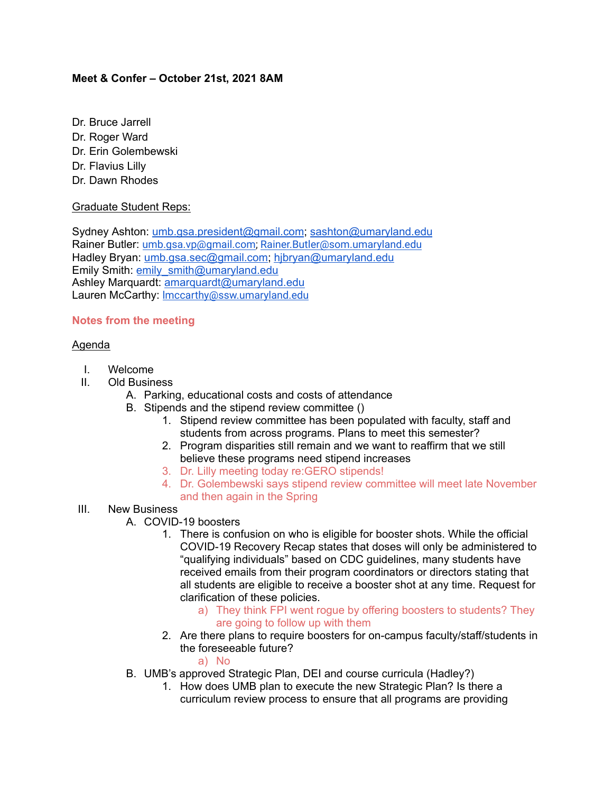## **Meet & Confer – October 21st, 2021 8AM**

- Dr. Bruce Jarrell
- Dr. Roger Ward
- Dr. Erin Golembewski
- Dr. Flavius Lilly
- Dr. Dawn Rhodes

### Graduate Student Reps:

Sydney Ashton: [umb.gsa.president@gmail.com;](mailto:umb.gsa.president@gmail.com) [sashton@umaryland.edu](mailto:sashton@umaryland.edu) Rainer Butler: [umb.gsa.vp@gmail.com;](mailto:umb.gsa.vp@gmail.com) [Rainer.Butler@som.umaryland.edu](mailto:Rainer.Butler@som.umaryland.edu) Hadley Bryan: [umb.gsa.sec@gmail.com;](mailto:umb.gsa.sec@gmail.com) [hjbryan@umaryland.edu](mailto:hjbryan@umaryland.edu) Emily Smith: [emily\\_smith@umaryland.edu](mailto:emily_smith@umaryland.edu) Ashley Marquardt: [amarquardt@umaryland.edu](mailto:amarquardt@umaryland.edu) Lauren McCarthy: [lmccarthy@ssw.umaryland.edu](mailto:lmccarthy@ssw.umaryland.edu)

# **Notes from the meeting**

### Agenda

- I. Welcome
- II. Old Business
	- A. Parking, educational costs and costs of attendance
	- B. Stipends and the stipend review committee ()
		- 1. Stipend review committee has been populated with faculty, staff and students from across programs. Plans to meet this semester?
		- 2. Program disparities still remain and we want to reaffirm that we still believe these programs need stipend increases
		- 3. Dr. Lilly meeting today re:GERO stipends!
		- 4. Dr. Golembewski says stipend review committee will meet late November and then again in the Spring
- III. New Business
	- A. COVID-19 boosters
		- 1. There is confusion on who is eligible for booster shots. While the official COVID-19 Recovery Recap states that doses will only be administered to "qualifying individuals" based on CDC guidelines, many students have received emails from their program coordinators or directors stating that all students are eligible to receive a booster shot at any time. Request for clarification of these policies.
			- a) They think FPI went rogue by offering boosters to students? They are going to follow up with them
		- 2. Are there plans to require boosters for on-campus faculty/staff/students in the foreseeable future?

a) No

- B. UMB's approved Strategic Plan, DEI and course curricula (Hadley?)
	- 1. How does UMB plan to execute the new Strategic Plan? Is there a curriculum review process to ensure that all programs are providing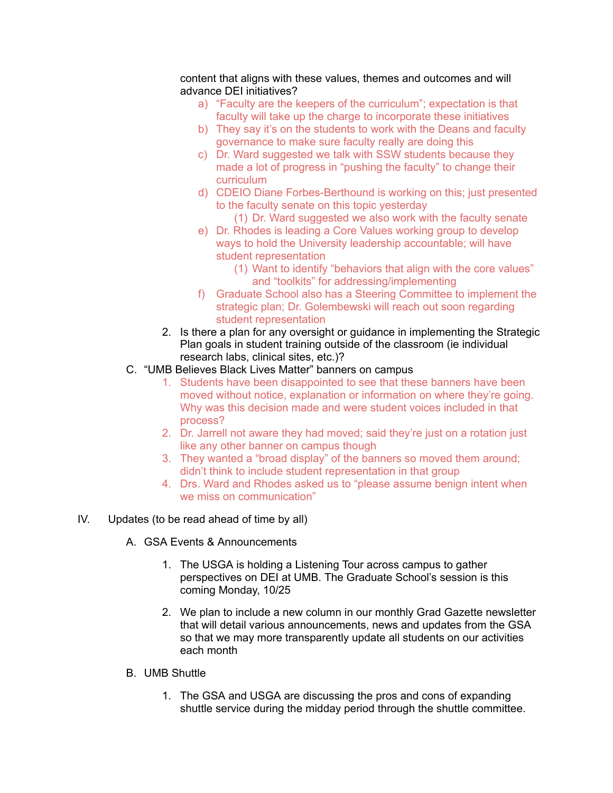#### content that aligns with these values, themes and outcomes and will advance DEI initiatives?

- a) "Faculty are the keepers of the curriculum"; expectation is that faculty will take up the charge to incorporate these initiatives
- b) They say it's on the students to work with the Deans and faculty governance to make sure faculty really are doing this
- c) Dr. Ward suggested we talk with SSW students because they made a lot of progress in "pushing the faculty" to change their curriculum
- d) CDEIO Diane Forbes-Berthound is working on this; just presented to the faculty senate on this topic yesterday
	- (1) Dr. Ward suggested we also work with the faculty senate
- e) Dr. Rhodes is leading a Core Values working group to develop ways to hold the University leadership accountable; will have student representation
	- (1) Want to identify "behaviors that align with the core values" and "toolkits" for addressing/implementing
- f) Graduate School also has a Steering Committee to implement the strategic plan; Dr. Golembewski will reach out soon regarding student representation
- 2. Is there a plan for any oversight or guidance in implementing the Strategic Plan goals in student training outside of the classroom (ie individual research labs, clinical sites, etc.)?
- C. "UMB Believes Black Lives Matter" banners on campus
	- 1. Students have been disappointed to see that these banners have been moved without notice, explanation or information on where they're going. Why was this decision made and were student voices included in that process?
	- 2. Dr. Jarrell not aware they had moved; said they're just on a rotation just like any other banner on campus though
	- 3. They wanted a "broad display" of the banners so moved them around; didn't think to include student representation in that group
	- 4. Drs. Ward and Rhodes asked us to "please assume benign intent when we miss on communication"

### IV. Updates (to be read ahead of time by all)

- A. GSA Events & Announcements
	- 1. The USGA is holding a Listening Tour across campus to gather perspectives on DEI at UMB. The Graduate School's session is this coming Monday, 10/25
	- 2. We plan to include a new column in our monthly Grad Gazette newsletter that will detail various announcements, news and updates from the GSA so that we may more transparently update all students on our activities each month
- B. UMB Shuttle
	- 1. The GSA and USGA are discussing the pros and cons of expanding shuttle service during the midday period through the shuttle committee.